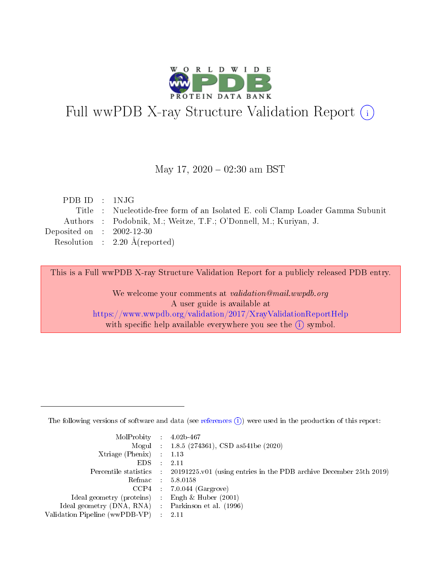

# Full wwPDB X-ray Structure Validation Report (i)

#### May 17,  $2020 - 02:30$  am BST

| PDBID : INJG                |                                                                                |
|-----------------------------|--------------------------------------------------------------------------------|
|                             | Title : Nucleotide-free form of an Isolated E. coli Clamp Loader Gamma Subunit |
|                             | Authors : Podobnik, M.; Weitze, T.F.; O'Donnell, M.; Kuriyan, J.               |
| Deposited on : $2002-12-30$ |                                                                                |
|                             | Resolution : $2.20 \text{ Å}$ (reported)                                       |
|                             |                                                                                |

This is a Full wwPDB X-ray Structure Validation Report for a publicly released PDB entry.

We welcome your comments at validation@mail.wwpdb.org A user guide is available at <https://www.wwpdb.org/validation/2017/XrayValidationReportHelp> with specific help available everywhere you see the  $(i)$  symbol.

The following versions of software and data (see [references](https://www.wwpdb.org/validation/2017/XrayValidationReportHelp#references)  $(1)$ ) were used in the production of this report:

| $MolProbability$ : 4.02b-467                        |                                                                                            |
|-----------------------------------------------------|--------------------------------------------------------------------------------------------|
|                                                     | Mogul : $1.8.5$ (274361), CSD as 541be (2020)                                              |
| Xtriage (Phenix) $: 1.13$                           |                                                                                            |
| EDS                                                 | -2.11                                                                                      |
|                                                     | Percentile statistics : 20191225.v01 (using entries in the PDB archive December 25th 2019) |
| Refmac 58.0158                                      |                                                                                            |
|                                                     | $CCP4$ 7.0.044 (Gargrove)                                                                  |
| Ideal geometry (proteins) : Engh $\&$ Huber (2001)  |                                                                                            |
| Ideal geometry (DNA, RNA) : Parkinson et al. (1996) |                                                                                            |
| Validation Pipeline (wwPDB-VP) : 2.11               |                                                                                            |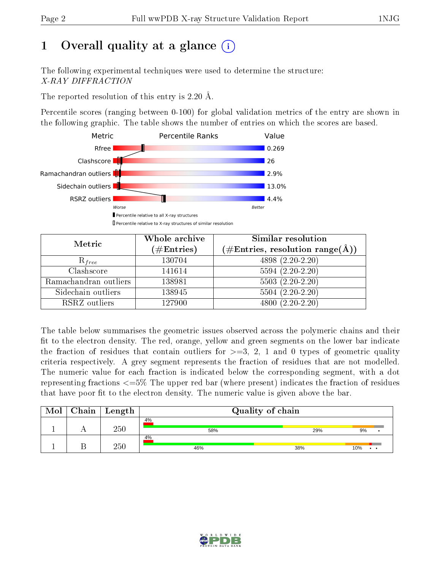# 1 [O](https://www.wwpdb.org/validation/2017/XrayValidationReportHelp#overall_quality)verall quality at a glance  $(i)$

The following experimental techniques were used to determine the structure: X-RAY DIFFRACTION

The reported resolution of this entry is 2.20 Å.

Percentile scores (ranging between 0-100) for global validation metrics of the entry are shown in the following graphic. The table shows the number of entries on which the scores are based.



| Metric                | Whole archive<br>$(\#\mathrm{Entries})$ | Similar resolution<br>$(\#\text{Entries},\,\text{resolution}\,\,\text{range}(\textup{\AA}))$ |
|-----------------------|-----------------------------------------|----------------------------------------------------------------------------------------------|
| $R_{free}$            | 130704                                  | 4898 (2.20-2.20)                                                                             |
| Clashscore            | 141614                                  | $5594(2.20-2.20)$                                                                            |
| Ramachandran outliers | 138981                                  | $5503(2.20-2.20)$                                                                            |
| Sidechain outliers    | 138945                                  | $5504(2.20-2.20)$                                                                            |
| RSRZ outliers         | 127900                                  | $4800(2.20-2.20)$                                                                            |

The table below summarises the geometric issues observed across the polymeric chains and their fit to the electron density. The red, orange, yellow and green segments on the lower bar indicate the fraction of residues that contain outliers for  $>=3, 2, 1$  and 0 types of geometric quality criteria respectively. A grey segment represents the fraction of residues that are not modelled. The numeric value for each fraction is indicated below the corresponding segment, with a dot representing fractions  $\epsilon=5\%$  The upper red bar (where present) indicates the fraction of residues that have poor fit to the electron density. The numeric value is given above the bar.

| Mol | Chain   Length | Quality of chain |     |                             |  |
|-----|----------------|------------------|-----|-----------------------------|--|
|     | 250            | 4%<br>58%        | 29% | 9%                          |  |
|     | 250            | 4%<br>46%        | 38% | 10%<br>$\ddot{\phantom{a}}$ |  |

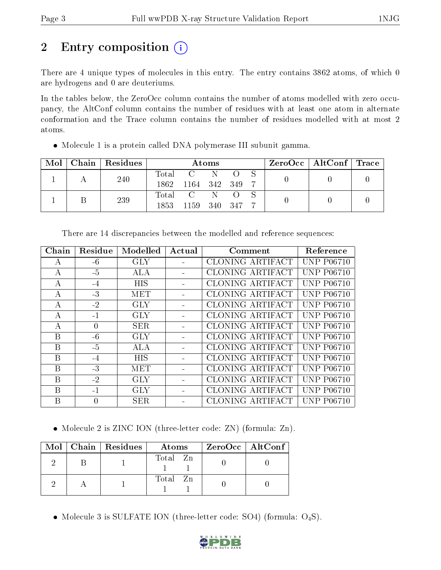# 2 Entry composition (i)

There are 4 unique types of molecules in this entry. The entry contains 3862 atoms, of which 0 are hydrogens and 0 are deuteriums.

In the tables below, the ZeroOcc column contains the number of atoms modelled with zero occupancy, the AltConf column contains the number of residues with at least one atom in alternate conformation and the Trace column contains the number of residues modelled with at most 2 atoms.

| Mol |  | Chain   Residues | Atoms        |              |             |  | $\text{ZeroOcc}$   AltConf   Trace |  |  |
|-----|--|------------------|--------------|--------------|-------------|--|------------------------------------|--|--|
|     |  | 240              | Total        | $C =$        | - N         |  |                                    |  |  |
|     |  | 1862             | 1164 342 349 |              |             |  |                                    |  |  |
|     |  | 239              | Total        | $\mathbf{C}$ | $\mathbf N$ |  |                                    |  |  |
|     |  | 1853             | 1159         | 340 347      |             |  |                                    |  |  |

Molecule 1 is a protein called DNA polymerase III subunit gamma.

| Chain | Residue  | Modelled   | Actual | Comment          | Reference         |
|-------|----------|------------|--------|------------------|-------------------|
| A     | $-6$     | <b>GLY</b> |        | CLONING ARTIFACT | <b>UNP P06710</b> |
| А     | $-5$     | ALA        |        | CLONING ARTIFACT | <b>UNP P06710</b> |
| A     | $-4$     | <b>HIS</b> |        | CLONING ARTIFACT | <b>UNP P06710</b> |
| А     | $-3$     | MET        |        | CLONING ARTIFACT | <b>UNP P06710</b> |
| A     | $-2$     | <b>GLY</b> |        | CLONING ARTIFACT | <b>UNP P06710</b> |
| А     | $-1$     | <b>GLY</b> |        | CLONING ARTIFACT | <b>UNP P06710</b> |
| A     | $\theta$ | <b>SER</b> |        | CLONING ARTIFACT | <b>UNP P06710</b> |
| B     | $-6$     | <b>GLY</b> |        | CLONING ARTIFACT | <b>UNP P06710</b> |
| B     | -5       | ALA        |        | CLONING ARTIFACT | <b>UNP P06710</b> |
| В     | $-4$     | HIS        |        | CLONING ARTIFACT | <b>UNP P06710</b> |
| Β     | $-3$     | MET        |        | CLONING ARTIFACT | <b>UNP P06710</b> |
| B     | $-2$     | <b>GLY</b> |        | CLONING ARTIFACT | <b>UNP P06710</b> |
| B     | $-1$     | <b>GLY</b> |        | CLONING ARTIFACT | <b>UNP P06710</b> |
| B     | 0        | <b>SER</b> |        | CLONING ARTIFACT | <b>UNP P06710</b> |
|       |          |            |        |                  |                   |

There are 14 discrepancies between the modelled and reference sequences:

• Molecule 2 is ZINC ION (three-letter code: ZN) (formula: Zn).

|  | $Mol$   Chain   Residues | Atoms    | $ZeroOcc$   AltConf |
|--|--------------------------|----------|---------------------|
|  |                          | Total Zn |                     |
|  |                          | Total Zn |                     |

• Molecule 3 is SULFATE ION (three-letter code: SO4) (formula:  $O_4S$ ).

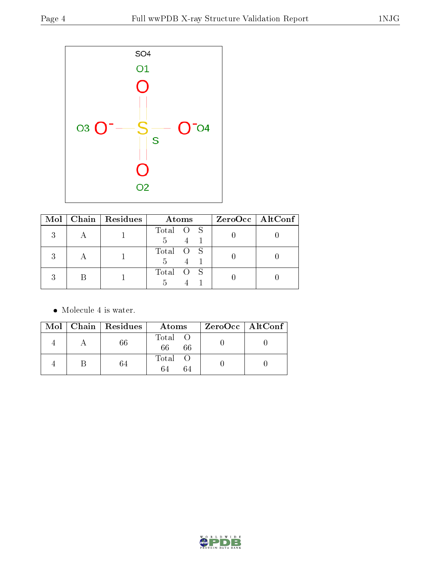

| $\text{Mol}$ | Chain   Residues | Atoms          | ZeroOcc   AltConf |
|--------------|------------------|----------------|-------------------|
| റ            |                  | Total O S      |                   |
|              |                  | Total O S<br>5 |                   |
|              |                  | Total O S      |                   |

• Molecule 4 is water.

|  | $Mol$   Chain   Residues | Atoms               | ZeroOcc   AltConf |
|--|--------------------------|---------------------|-------------------|
|  | 66                       | Total O<br>66<br>66 |                   |
|  | 64                       | Total O<br>64<br>64 |                   |

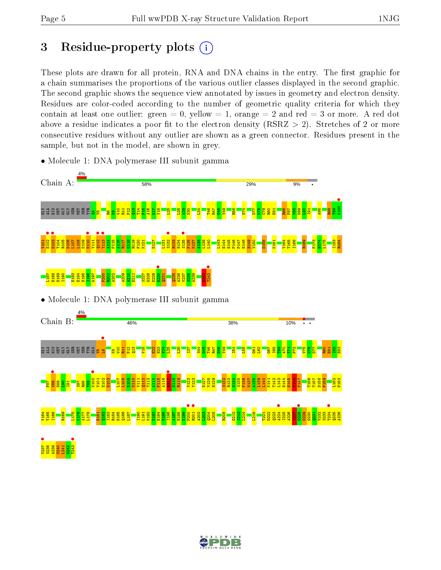# 3 Residue-property plots  $(i)$

These plots are drawn for all protein, RNA and DNA chains in the entry. The first graphic for a chain summarises the proportions of the various outlier classes displayed in the second graphic. The second graphic shows the sequence view annotated by issues in geometry and electron density. Residues are color-coded according to the number of geometric quality criteria for which they contain at least one outlier: green  $= 0$ , yellow  $= 1$ , orange  $= 2$  and red  $= 3$  or more. A red dot above a residue indicates a poor fit to the electron density (RSRZ  $> 2$ ). Stretches of 2 or more consecutive residues without any outlier are shown as a green connector. Residues present in the sample, but not in the model, are shown in grey.



• Molecule 1: DNA polymerase III subunit gamma

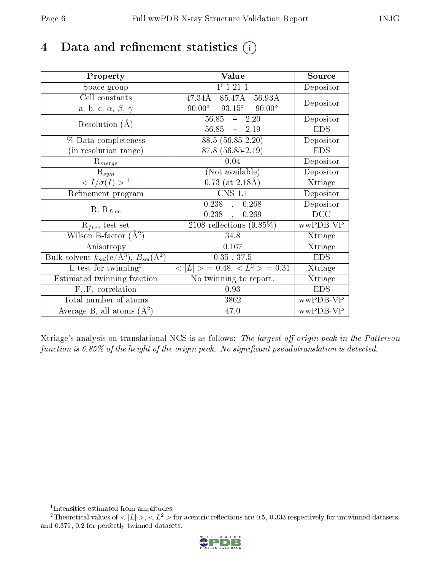# 4 Data and refinement statistics  $(i)$

| Property                                                                | Value                                               | Source     |
|-------------------------------------------------------------------------|-----------------------------------------------------|------------|
| Space group                                                             | P 1 21 1                                            | Depositor  |
| Cell constants                                                          | $85.47\text{\AA}$<br>47.34Å<br>56.93Å               |            |
| a, b, c, $\alpha$ , $\beta$ , $\gamma$                                  | $90.00^{\circ}$<br>$93.15^{\circ}$<br>$90.00^\circ$ | Depositor  |
| Resolution $(A)$                                                        | $56.85 - 2.20$                                      | Depositor  |
|                                                                         | $56.85 - 2.19$                                      | <b>EDS</b> |
| % Data completeness                                                     | $88.5(56.85-2.20)$                                  | Depositor  |
| (in resolution range)                                                   | 87.8 (56.85-2.19)                                   | <b>EDS</b> |
| $R_{merge}$                                                             | 0.04                                                | Depositor  |
| $\mathrm{R}_{sym}$                                                      | (Not available)                                     | Depositor  |
| $\langle I/\sigma(I) \rangle^{-1}$                                      | $0.73$ (at $2.18\text{\AA})$                        | Xtriage    |
| Refinement program                                                      | <b>CNS 1.1</b>                                      | Depositor  |
|                                                                         | $0.238$ , $0.268$                                   | Depositor  |
| $R, R_{free}$                                                           | 0.238,<br>0.269                                     | DCC        |
| $\mathcal{R}_{free}$ test set                                           | $2108$ reflections $(9.85\%)$                       | wwPDB-VP   |
| Wilson B-factor $(A^2)$                                                 | 34.8                                                | Xtriage    |
| Anisotropy                                                              | 0.167                                               | Xtriage    |
| Bulk solvent $k_{sol}(\mathrm{e}/\mathrm{A}^3),\,B_{sol}(\mathrm{A}^2)$ | $0.35$ , 37.5                                       | <b>EDS</b> |
| L-test for twinning <sup>2</sup>                                        | $< L >$ = 0.48, $< L2 >$ = 0.31                     | Xtriage    |
| Estimated twinning fraction                                             | No twinning to report.                              | Xtriage    |
| $F_o, F_c$ correlation                                                  | 0.93                                                | <b>EDS</b> |
| Total number of atoms                                                   | 3862                                                | wwPDB-VP   |
| Average B, all atoms $(A^2)$                                            | 47.0                                                | wwPDB-VP   |

Xtriage's analysis on translational NCS is as follows: The largest off-origin peak in the Patterson function is  $6.85\%$  of the height of the origin peak. No significant pseudotranslation is detected.

<sup>&</sup>lt;sup>2</sup>Theoretical values of  $\langle |L| \rangle$ ,  $\langle L^2 \rangle$  for acentric reflections are 0.5, 0.333 respectively for untwinned datasets, and 0.375, 0.2 for perfectly twinned datasets.



<span id="page-5-1"></span><span id="page-5-0"></span><sup>1</sup> Intensities estimated from amplitudes.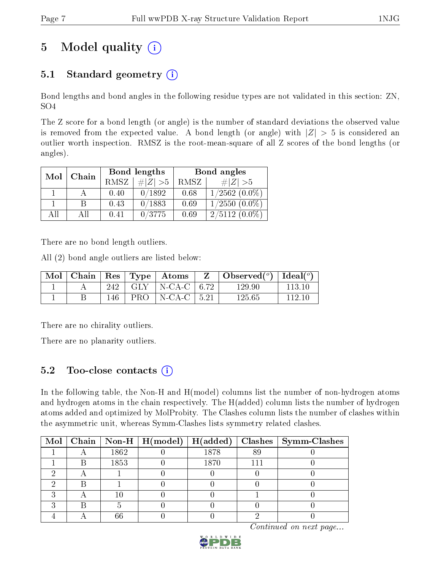# 5 Model quality  $(i)$

## 5.1 Standard geometry  $(i)$

Bond lengths and bond angles in the following residue types are not validated in this section: ZN, SO4

The Z score for a bond length (or angle) is the number of standard deviations the observed value is removed from the expected value. A bond length (or angle) with  $|Z| > 5$  is considered an outlier worth inspection. RMSZ is the root-mean-square of all Z scores of the bond lengths (or angles).

| Mol | Chain |             | Bond lengths | Bond angles |                    |  |
|-----|-------|-------------|--------------|-------------|--------------------|--|
|     |       | <b>RMSZ</b> | $\# Z  > 5$  | RMSZ        | $\# Z  > 5$        |  |
|     |       | 0.40        | 0/1892       | 0.68        | $1/2562$ $(0.0\%)$ |  |
|     | В     | 0.43        | 0/1883       | 0.69        | $1/2550(0.0\%)$    |  |
| AĦ  | A II  | 0.41        | 0/3775       | 0.69        | $2/5112(0.0\%)$    |  |

There are no bond length outliers.

All (2) bond angle outliers are listed below:

|  |     | Mol   Chain   Res   Type   Atoms | $Z^{-1}$ | Observed $(^\circ)$   Ideal $(^\circ)$ |          |
|--|-----|----------------------------------|----------|----------------------------------------|----------|
|  |     | 242   GLY   N-CA-C   6.72        |          | 129.90                                 | -113-10- |
|  | 146 | PRO   N-CA-C   $5.21$            |          | 125.65                                 | 112.10   |

There are no chirality outliers.

There are no planarity outliers.

## 5.2 Too-close contacts  $\overline{a}$

In the following table, the Non-H and H(model) columns list the number of non-hydrogen atoms and hydrogen atoms in the chain respectively. The H(added) column lists the number of hydrogen atoms added and optimized by MolProbity. The Clashes column lists the number of clashes within the asymmetric unit, whereas Symm-Clashes lists symmetry related clashes.

|  |      | Mol   Chain   Non-H   H(model)   H(added) |      |     | $Clashes$   Symm-Clashes |
|--|------|-------------------------------------------|------|-----|--------------------------|
|  | 1862 |                                           | 1878 | 89  |                          |
|  | 1853 |                                           | 1870 | 111 |                          |
|  |      |                                           |      |     |                          |
|  |      |                                           |      |     |                          |
|  |      |                                           |      |     |                          |
|  |      |                                           |      |     |                          |
|  | 66   |                                           |      |     |                          |

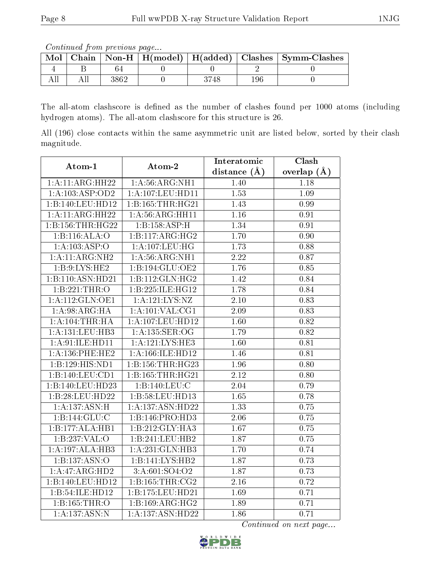Continued from previous page...

| Mol | $Chain \perp$ |  |  | $\mid$ Non-H $\mid$ H(model) $\mid$ H(added) $\mid$ Clashes $\mid$ Symm-Clashes |
|-----|---------------|--|--|---------------------------------------------------------------------------------|
|     |               |  |  |                                                                                 |
|     |               |  |  |                                                                                 |

The all-atom clashscore is defined as the number of clashes found per 1000 atoms (including hydrogen atoms). The all-atom clashscore for this structure is 26.

All (196) close contacts within the same asymmetric unit are listed below, sorted by their clash magnitude.

| Atom-1              | Atom-2              | Interatomic       | Clash           |
|---------------------|---------------------|-------------------|-----------------|
|                     |                     | distance $(A)$    | overlap $(\AA)$ |
| 1:A:11:ARG:HH22     | 1: A:56: ARG: NH1   | 1.40              | 1.18            |
| 1:A:103:ASP:OD2     | 1:A:107:LEU:HD11    | 1.53              | 1.09            |
| 1:B:140:LEU:HD12    | 1:B:165:THR:HG21    | 1.43              | 0.99            |
| 1:A:11:ARG:HH22     | 1: A:56: ARG: HH11  | 1.16              | 0.91            |
| 1:B:156:THR:HG22    | 1:B:158:ASP:H       | 1.34              | 0.91            |
| 1:B:116:ALA:O       | 1:B:117:ARG:HG2     | $\overline{1.70}$ | 0.90            |
| 1:A:103:ASP:O       | 1: A: 107: LEU: HG  | 1.73              | 0.88            |
| 1:A:11:ARG:NH2      | 1: A:56: ARG: NH1   | $\overline{2.22}$ | 0.87            |
| 1: B:9: LYS: HE2    | 1:B:194:GLU:OE2     | 1.76              | 0.85            |
| 1:B:110:ASN:HD21    | 1:B:112:GLN:HG2     | 1.42              | 0.84            |
| 1:B:221:THR:O       | 1:B:225:ILE:HG12    | 1.78              | 0.84            |
| 1:A:112:GLN:OE1     | 1:A:121:LYS:NZ      | 2.10              | 0.83            |
| 1: A:98: ARG: HA    | $1:$ A:101:VAL:CG1  | 2.09              | 0.83            |
| 1: A: 104:THR: HA   | 1:A:107:LEU:HD12    | 1.60              | 0.82            |
| 1: A: 131: LEU: HB3 | 1: A: 135: SER: OG  | 1.79              | 0.82            |
| 1:A:91:ILE:HD11     | 1:A:121:LYS:HE3     | 1.60              | 0.81            |
| 1:A:136:PHE:HE2     | 1:A:166:ILE:HD12    | 1.46              | 0.81            |
| 1:B:129:HIS:ND1     | 1:B:156:THR:HG23    | 1.96              | 0.80            |
| 1:B:140:LEU:CD1     | 1:B:165:THR:HG21    | 2.12              | 0.80            |
| 1:B:140:LEU:HD23    | 1:B:140:LEU:C       | 2.04              | 0.79            |
| 1:B:28:LEU:HD22     | 1:B:58:LEU:HD13     | 1.65              | 0.78            |
| 1:A:137:ASN:H       | 1:A:137:ASN:HD22    | 1.33              | 0.75            |
| 1: B: 144: GLU: C   | 1:B:146:PRO:HD3     | 2.06              | 0.75            |
| 1:B:177:ALA:HB1     | 1:B:212:GLY:HA3     | 1.67              | 0.75            |
| 1:B:237:VAL:O       | 1:B:241:LEU:HB2     | 1.87              | 0.75            |
| 1:A:197:ALA:HB3     | 1:A:231:GLN:HB3     | 1.70              | 0.74            |
| 1:B:137:ASN:O       | 1:B:141:LYS:HB2     | 1.87              | 0.73            |
| 1:A:47:ARG:HD2      | 3:A:601:SO4:O2      | 1.87              | 0.73            |
| 1:B:140:LEU:HD12    | 1: B: 165: THR: CG2 | 2.16              | 0.72            |
| 1:B:54:ILE:HD12     | 1:B:175:LEU:HD21    | 1.69              | 0.71            |
| 1:B:165:THR:O       | 1:B:169:ARG:HG2     | 1.89              | 0.71            |
| 1: A: 137: ASN: N   | 1:A:137:ASN:HD22    | 1.86              | 0.71            |

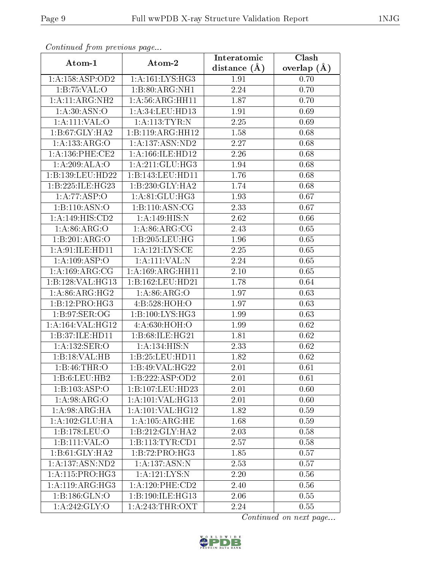| Comunaca jiom previous page |                                   | Interatomic    | Clash           |
|-----------------------------|-----------------------------------|----------------|-----------------|
| Atom-1                      | Atom-2                            | distance $(A)$ | overlap $(\AA)$ |
| 1:A:158:ASP:OD2             | 1:A:161:LYS:HG3                   | 1.91           | 0.70            |
| 1:B:75:VAL:O                | 1:B:80:ARG:NH1                    | 2.24           | 0.70            |
| 1:A:11:ARG:NH2              | $1:A:56:ARG:H\overline{H11}$      | 1.87           | 0.70            |
| 1: A:30: ASN:O              | 1:A:34:LEU:HD13                   | 1.91           | 0.69            |
| 1:A:111:VAL:O               | $1:A:113:\overline{\text{TYR}:N}$ | 2.25           | 0.69            |
| 1:B:67:GLY:HA2              | 1:B:119:ARG:HH12                  | 1.58           | 0.68            |
| 1:A:133:ARG:O               | 1:A:137:ASN:ND2                   | 2.27           | 0.68            |
| 1: A: 136: PHE: CE2         | 1: A: 166: ILE: HD12              | 2.26           | 0.68            |
| 1:A:209:ALA:O               | 1:A:211:GLU:HG3                   | 1.94           | 0.68            |
| 1:B:139:LEU:HD22            | 1:B:143:LEU:HD11                  | 1.76           | 0.68            |
| 1:B:225:ILE:HG23            | 1:B:230:GLY:HA2                   | 1.74           | 0.68            |
| 1:A:77:ASP:O                | 1: A:81: GLU:HG3                  | 1.93           | 0.67            |
| 1:B:110:ASN:O               | 1:B:110:ASN:CG                    | 2.33           | 0.67            |
| 1:A:149:HIS:CD2             | 1: A:149:HIS:N                    | 2.62           | 0.66            |
| 1: A:86: ARG:O              | 1: A:86: ARG:CG                   | 2.43           | 0.65            |
| 1:B:201:ARG:O               | 1:B:205:LEU:HG                    | 1.96           | 0.65            |
| 1:A:91:ILE:HD11             | 1:A:121:LYS:CE                    | 2.25           | 0.65            |
| 1:A:109:ASP:O               | 1:A:111:VAL:N                     | 2.24           | 0.65            |
| 1: A: 169: ARG: CG          | 1: A: 169: ARG: HH11              | $2.10\,$       | 0.65            |
| 1:B:128:VAL:HG13            | 1:B:162:LEU:HD21                  | 1.78           | 0.64            |
| 1: A:86: ARG: HG2           | 1: A:86: ARG:O                    | 1.97           | 0.63            |
| $1:B:12:P\overline{RO:HG3}$ | 4:B:528:HOH:O                     | 1.97           | 0.63            |
| 1: B:97: SER:OG             | 1:B:100:LYS:HG3                   | 1.99           | 0.63            |
| 1:A:164:VAL:HG12            | 4:A:630:HOH:O                     | 1.99           | 0.62            |
| 1:B:37:ILE:HD11             | 1:B:68:ILE:HG21                   | 1.81           | 0.62            |
| 1:A:132:SER:O               | 1: A:134: HIS:N                   | 2.33           | 0.62            |
| 1:B:18:VAL:HB               | 1:B:25:LEU:HD11                   | 1.82           | 0.62            |
| 1:B:46:THR:O                | 1:B:49:VAL:HG22                   | 2.01           | 0.61            |
| 1:B:6:LEU:HB2               | 1:B:222:ASP:OD2                   | 2.01           | 0.61            |
| 1:B:103:ASP:O               | 1:B:107:LEU:HD23                  | 2.01           | 0.60            |
| 1: A:98: ARG:O              | 1: A: 101: VAL: HG13              | 2.01           | 0.60            |
| $1:A:98:AR\overline{G:HA}$  | 1:A:101:VAL:HG12                  | 1.82           | 0.59            |
| 1:A:102:GLU:HA              | 1: A: 105: ARG: HE                | 1.68           | 0.59            |
| 1:B:178:LEU:O               | 1:B:212:GLY:HA2                   | 2.03           | 0.58            |
| 1:B:111:VAL:O               | 1:B:113:TYR:CD1                   | 2.57           | 0.58            |
| 1:B:61:GLY:HA2              | 1:B:72:PRO:HG3                    | 1.85           | 0.57            |
| 1: A: 137: ASN: ND2         | 1: A: 137: ASN: N                 | 2.53           | 0.57            |
| 1: A:115: PRO:HG3           | 1: A: 121: LYS: N                 | 2.20           | 0.56            |
| 1: A:119: ARG: HG3          | $1: A:120:$ PHE:CD2               | 2.40           | 0.56            |
| 1:B:186:GLN:O               | 1:B:190:ILE:HG13                  | 2.06           | 0.55            |
| 1:A:242:GLY:O               | $1:$ A:243:THR:OXT                | 2.24           | 0.55            |

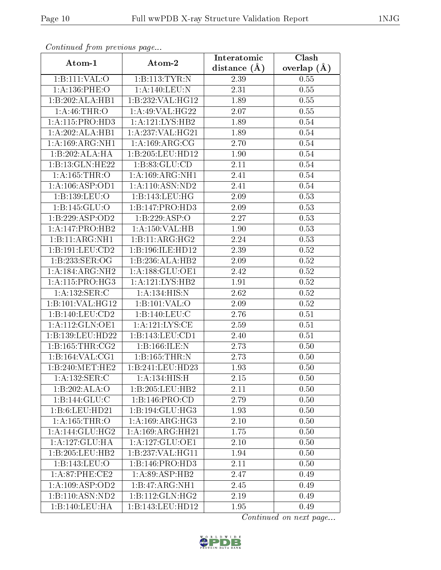| Continuea from previous page |                      | Interatomic    | Clash         |
|------------------------------|----------------------|----------------|---------------|
| Atom-1                       | Atom-2               | distance $(A)$ | overlap $(A)$ |
| 1:B:111:VAL:O                | 1:B:113:TYR:N        | 2.39           | 0.55          |
| 1:A:136:PHE:O                | 1:A:140:LEU:N        | 2.31           | 0.55          |
| 1:B:202:ALA:HB1              | 1:B:232:VAL:HG12     | 1.89           | 0.55          |
| 1: A:46:THR:O                | 1: A:49: VAL:HG22    | 2.07           | 0.55          |
| 1:A:115:PRO:HD3              | 1:A:121:LYS:HB2      | 1.89           | 0.54          |
| 1:A:202:ALA:HB1              | 1:A:237:VAL:HG21     | 1.89           | 0.54          |
| 1: A: 169: ARG: NH1          | 1: A: 169: ARG: CG   | 2.70           | 0.54          |
| 1:B:202:ALA:HA               | 1:B:205:LEU:HD12     | 1.90           | 0.54          |
| 1:B:13:GLN:HE22              | 1:B:83:GLU:CD        | 2.11           | 0.54          |
| 1: A: 165: THR: O            | 1: A: 169: ARG: NH1  | 2.41           | 0.54          |
| 1:A:106:ASP:OD1              | 1:A:110:ASN:ND2      | 2.41           | 0.54          |
| 1:B:139:LEU:O                | 1:B:143:LEU:HG       | 2.09           | 0.53          |
| 1:B:145:GLU:O                | 1:B:147:PRO:HD3      | 2.09           | 0.53          |
| 1:B:229:ASP:OD2              | 1:B:229:ASP:O        | 2.27           | 0.53          |
| 1: A:147: PRO:HB2            | 1:A:150:VAL:HB       | 1.90           | 0.53          |
| 1:B:11:ARG:NH1               | 1:B:11:ARG:HG2       | 2.24           | 0.53          |
| 1:B:191:LEU:CD2              | 1:B:196:ILE:HD12     | 2.39           | $0.52\,$      |
| 1:B:233:SER:OG               | 1:B:236:ALA:HB2      | 2.09           | 0.52          |
| 1:A:184:ARG:NH2              | 1:A:188:GLU:OE1      | 2.42           | 0.52          |
| 1: A:115: PRO:HG3            | 1:A:121:LYS:HB2      | 1.91           | 0.52          |
| 1:A:132:SER:C                | 1: A:134: HIS:N      | 2.62           | 0.52          |
| 1:B:101:VAL:HG12             | 1:B:101:VAL:O        | 2.09           | 0.52          |
| 1:B:140:LEU:CD2              | 1:B:140:LEU:C        | 2.76           | 0.51          |
| 1:A:112:GLN:OE1              | 1:A:121:LYS:CE       | 2.59           | 0.51          |
| 1:B:139:LEU:HD22             | 1:B:143:LEU:CD1      | 2.40           | 0.51          |
| 1: B: 165: THR: CG2          | 1:B:166:ILE:N        | 2.73           | 0.50          |
| 1:B:164:VAL:CG1              | 1:B:165:THR:N        | 2.73           | 0.50          |
| 1:B:240:MET:HE2              | 1:B:241:LEU:HD23     | 1.93           | 0.50          |
| 1:A:132:SER:C                | 1: A:134: HIS:H      | 2.15           | 0.50          |
| 1:B:202:ALA:O                | 1:B:205:LEU:HB2      | 2.11           | 0.50          |
| 1:B:144:GLU:C                | 1:B:146:PRO:CD       | 2.79           | 0.50          |
| 1:B:6:LEU:HD21               | 1:B:194:GLU:HG3      | 1.93           | 0.50          |
| 1: A: 165: THR:O             | 1: A:169: ARG: HG3   | 2.10           | 0.50          |
| 1:A:144:GLU:HG2              | 1: A: 169: ARG: HH21 | 1.75           | 0.50          |
| 1:A:127:GLU:HA               | 1:A:127:GLU:OE1      | 2.10           | 0.50          |
| 1:B:205:LEU:HB2              | 1:B:237:VAL:HG11     | 1.94           | 0.50          |
| 1:B:143:LEU:O                | 1:B:146:PRO:HD3      | 2.11           | 0.50          |
| 1:A:87:PHE:CE2               | 1:A:89:ASP:HB2       | 2.47           | 0.49          |
| 1:A:109:ASP:OD2              | 1:B:47:ARG:NH1       | 2.45           | 0.49          |
| 1:B:110:ASN:ND2              | 1:B:112:GLN:HG2      | 2.19           | 0.49          |
| 1:B:140:LEU:HA               | 1:B:143:LEU:HD12     | 1.95           | 0.49          |

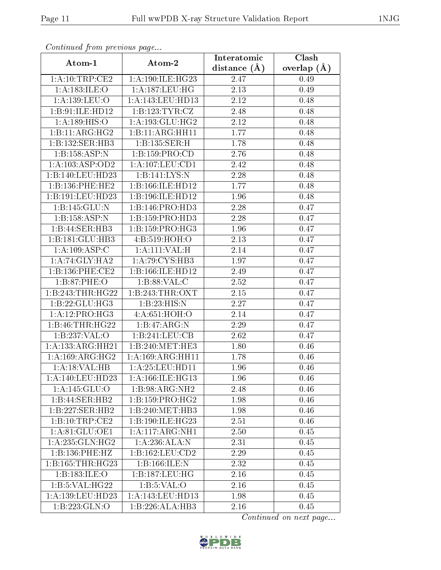| Continuea from previous page |                             | Interatomic       | Clash           |  |
|------------------------------|-----------------------------|-------------------|-----------------|--|
| Atom-1                       | Atom-2                      | distance $(A)$    | overlap $(\AA)$ |  |
| 1:A:10:TRP:CE2               | 1:A:190:ILE:HG23            | 2.47              | 0.49            |  |
| 1:A:183:ILE:O                | 1: A: 187: LEU: HG          | $\overline{2.13}$ | 0.49            |  |
| 1: A: 139: LEU: O            | 1:A:143:LEU:HD13            | 2.12              | 0.48            |  |
| 1:B:91:ILE:HD12              | 1:B:123:TYR:CZ              | 2.48              | 0.48            |  |
| 1:A:189:HIS:O                | 1: A: 193: GLU: HG2         | 2.12              | 0.48            |  |
| 1:B:11:ARG:HG2               | 1:B:11:ARG:HH11             | 1.77              | 0.48            |  |
| 1:B:132:SER:HB3              | 1:B:135:SER:H               | 1.78              | 0.48            |  |
| 1:B:158:ASP:N                | 1:B:159:PRO:CD              | 2.76              | 0.48            |  |
| 1:A:103:ASP:OD2              | 1: A: 107: LEU: CD1         | 2.42              | 0.48            |  |
| 1:B:140:LEU:HD23             | 1:B:141:LYS:N               | 2.28              | 0.48            |  |
| 1:B:136:PHE:HE2              | 1:B:166:ILE:HD12            | 1.77              | 0.48            |  |
| 1:B:191:LEU:HD23             | 1:B:196:ILE:HD12            | 1.96              | 0.48            |  |
| 1:B:145:GLU:N                | 1:B:146:PRO:HD3             | 2.28              | 0.47            |  |
| 1:B:158:ASP:N                | 1:B:159:PRO:HD3             | 2.28              | 0.47            |  |
| 1:B:44:SER:HB3               | 1:B:159:PRO:H <sub>G3</sub> | 1.96              | 0.47            |  |
| 1:B:181:GLU:HB3              | 4:B:519:HOH:O               | 2.13              | 0.47            |  |
| 1:A:109:ASP:C                | 1:A:111:VAL:H               | 2.14              | 0.47            |  |
| 1:A:74:GLY:HA2               | 1:A:79:CYS:HB3              | 1.97              | 0.47            |  |
| 1:B:136:PHE:CE2              | 1:B:166:ILE:HD12            | 2.49              | 0.47            |  |
| 1:B:87:PHE:O                 | 1:B:88:VAL:C                | 2.52              | 0.47            |  |
| 1:B:243:THR:HG22             | 1:B:243:THR:OXT             | 2.15              | 0.47            |  |
| 1:B:22:GLU:HG3               | 1:B:23:HIS:N                | 2.27              | 0.47            |  |
| 1:A:12:PRO:HG3               | 4:A:651:HOH:O               | 2.14              | 0.47            |  |
| 1:B:46:THR:HG22              | 1:B:47:ARG:N                | 2.29              | 0.47            |  |
| 1:B:237:VAL:O                | 1:B:241:LEU:CB              | 2.62              | 0.47            |  |
| 1:A:133:ARG:HH21             | 1:B:240:MET:HE3             | 1.80              | 0.46            |  |
| 1:A:169:ARG:HG2              | 1:A:169:ARG:HH11            | 1.78              | 0.46            |  |
| 1:A:18:VAL:HB                | 1:A:25:LEU:HD11             | 1.96              | 0.46            |  |
| $1: A:140:$ LEU:HD23         | 1: A:166: ILE: HG13         | 1.96              | 0.46            |  |
| 1: A:145: GLU:O              | 1:B:98:ARG:NH2              | 2.48              | 0.46            |  |
| 1:B:44:SER:HB2               | 1: B: 159: PRO:HG2          | 1.98              | 0.46            |  |
| $1:B:227:SER:H\overline{B2}$ | 1:B:240:MET:HB3             | 1.98              | 0.46            |  |
| 1:B:10:TRP:CE2               | 1:B:190:ILE:HG23            | 2.51              | 0.46            |  |
| 1:A:81:GLU:OE1               | 1:A:117:ARG:NH1             | 2.50              | 0.45            |  |
| 1: A:235: GLN: HG2           | 1:A:236:ALA:N               | 2.31              | 0.45            |  |
| 1:B:136:PHE:HZ               | 1: B: 162: LEU: CD2         | 2.29              | 0.45            |  |
| 1:B:165:THR:HG23             | 1:B:166:ILE:N               | 2.32              | 0.45            |  |
| 1:B:183:ILE:O                | 1:B:187:LEU:HG              | $2.16\,$          | 0.45            |  |
| 1:B:5:VAL:H G22              | 1: B: 5: VAL: O             | 2.16              | 0.45            |  |
| 1:A:139:LEU:HD23             | 1:A:143:LEU:HD13            | 1.98              | 0.45            |  |
| 1:B:223:GLN:O                | 1:B:226:ALA:HB3             | 2.16              | 0.45            |  |

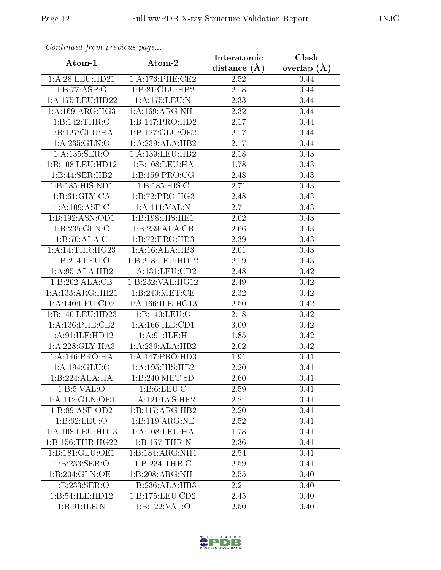| Continuea from previous page |                              | Interatomic    | Clash         |  |
|------------------------------|------------------------------|----------------|---------------|--|
| Atom-1                       | Atom-2                       | distance $(A)$ | overlap $(A)$ |  |
| 1: A:28:LEU:HD21             | 1: A:173: PHE:CE2            | 2.52           | 0.44          |  |
| 1:B:77:ASP:O                 | 1:B:81:GLU:HB2               | 2.18           | 0.44          |  |
| 1:A:175:LEU:HD22             | 1: A: 175: LEU: N            | 2.33           | 0.44          |  |
| 1: A: 169: ARG: HG3          | 1:A:169:ARG:NH1              | 2.32           | 0.44          |  |
| 1:B:142:THR:O                | 1:B:147:PRO:HD2              | 2.17           | 0.44          |  |
| 1:B:127:GLU:HA               | 1:B:127:GLU:OE2              | 2.17           | 0.44          |  |
| 1: A: 235: GLN:O             | 1:A:239:ALA:HB2              | 2.17           | 0.44          |  |
| 1:A:135:SER:O                | 1: A: 139: LEU: HB2          | 2.18           | 0.43          |  |
| 1:B:108:LEU:HD12             | 1:B:108:LEU:HA               | 1.78           | 0.43          |  |
| 1:B:44:SER:HB2               | 1:B:159:PRO:CG               | 2.48           | 0.43          |  |
| 1:B:185:HIS:ND1              | 1:B:185:HIS:C                | 2.71           | 0.43          |  |
| 1: B:61: GLY:CA              | 1:B:72:PRO:HG3               | 2.48           | 0.43          |  |
| $1:A:109:ASP\overline{C}$    | 1:A:111:VAL:IN               | 2.71           | 0.43          |  |
| 1:B:192:ASN:OD1              | 1:B:198:HIS:HEL              | 2.02           | 0.43          |  |
| 1:B:235:GLN:O                | 1:B:239:ALA:CB               | 2.66           | 0.43          |  |
| 1:B:70:ALA:C                 | $1:B:72:PRO:\overline{HD3}$  | 2.39           | 0.43          |  |
| 1:A:14:THR:HG23              | 1:A:16:ALA:HB3               | 2.01           | 0.43          |  |
| 1:B:214:LEU:O                | 1:B:218:LEU:HD12             | 2.19           | 0.43          |  |
| 1:A:95:ALA:HB2               | $1:A:\overline{131:LEU:CD2}$ | 2.48           | 0.42          |  |
| 1:B:202:ALA:CB               | 1:B:232:VAL:HG12             | 2.49           | 0.42          |  |
| 1:A:133:ARG:HH21             | 1:B:240:MET:CE               | 2.32           | 0.42          |  |
| 1: A: 140: LEU: CD2          | 1: A: 166: ILE: HG13         | 2.50           | 0.42          |  |
| 1:B:140:LEU:HD23             | 1:B:140:LEU:O                | 2.18           | 0.42          |  |
| 1: A: 136: PHE: CE2          | 1:A:166:ILE:CD1              | 3.00           | 0.42          |  |
| 1:A:91:ILE:HD12              | 1: A:91: ILE:H               | 1.85           | 0.42          |  |
| 1: A:228: GLY:HA3            | 1:A:236:ALA:HB2              | 2.02           | 0.42          |  |
| 1:A:146:PRO:HA               | 1:A:147:PRO:HD3              | 1.91           | 0.41          |  |
| 1:A:194:GLU:O                | 1:A:195:HIS:HB2              | 2.20           | 0.41          |  |
| 1:B:224:ALA:HA               | 1:B:240:MET:SD               | 2.60           | 0.41          |  |
| 1: B: 5: VAL: O              | 1: B: 6: LEU: C              | 2.59           | 0.41          |  |
| 1:A:112:GLN:OE1              | 1: A: 121: LYS: HE2          | 2.21           | 0.41          |  |
| 1:B:89:ASP:OD2               | 1:B:117:ARG:HB2              | 2.20           | 0.41          |  |
| 1: B:62:LEU:O                | 1:B:119:ARG:NE               | 2.52           | 0.41          |  |
| 1: A:108:LEU:HD13            | 1:A:108:LEU:HA               | 1.78           | 0.41          |  |
| 1:B:156:THR:HG22             | 1:B:157:THR:N                | 2.36           | 0.41          |  |
| 1:B:181:GLU:OE1              | 1:B:184:ARG:NH1              | 2.54           | 0.41          |  |
| 1:B:233:SER:O                | 1:B:234:THR:C                | 2.59           | 0.41          |  |
| 1:B:204:GLN:OE1              | 1:B:208:ARG:NH1              | 2.55           | 0.40          |  |
| 1:B:233:SER:O                | 1:B:236:ALA:HB3              | 2.21           | 0.40          |  |
| 1:B:54:ILE:HD12              | 1: B: 175: LEU: CD2          | 2.45           | 0.40          |  |
| 1: B:91: ILE:N               | 1:B:122:VAL:O                | 2.50           | 0.40          |  |

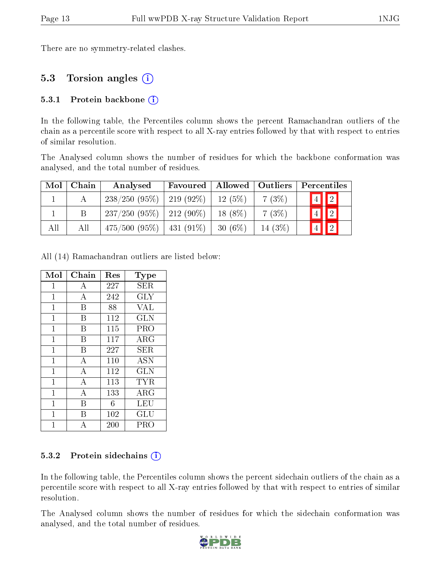There are no symmetry-related clashes.

## 5.3 Torsion angles (i)

#### 5.3.1 Protein backbone  $(i)$

In the following table, the Percentiles column shows the percent Ramachandran outliers of the chain as a percentile score with respect to all X-ray entries followed by that with respect to entries of similar resolution.

The Analysed column shows the number of residues for which the backbone conformation was analysed, and the total number of residues.

| Mol | Chain | Analysed                            | Favoured | Allowed   Outliers |        | Percentiles    |                 |
|-----|-------|-------------------------------------|----------|--------------------|--------|----------------|-----------------|
|     |       | $238/250$ (95\%)   219 (92\%)       |          | 12(5%)             | 7(3%)  | $\sqrt{4}$     | $\vert \vert$ 2 |
|     |       | $237/250$ (95\%)   212 (90\%)       |          | $18(8\%)$          | 7(3%)  | $\overline{4}$ | $\boxed{2}$     |
| All | Аll   | $475/500$ $(95\%)$   $431$ $(91\%)$ |          | $-30(6\%)$         | 14(3%) | $ \bar{4} $    | $\boxed{2}$     |

All (14) Ramachandran outliers are listed below:

| Mol          | Chain            | Res | Type       |
|--------------|------------------|-----|------------|
| $\mathbf{1}$ | А                | 227 | SER        |
| $\mathbf{1}$ | A                | 242 | <b>GLY</b> |
| $\mathbf{1}$ | B                | 88  | <b>VAL</b> |
| $\mathbf{1}$ | B                | 112 | <b>GLN</b> |
| $\mathbf 1$  | B                | 115 | PRO        |
| $\mathbf{1}$ | B                | 117 | $\rm{ARG}$ |
| $\mathbf{1}$ | B                | 227 | SER.       |
| $\mathbf{1}$ | A                | 110 | <b>ASN</b> |
| $\mathbf{1}$ | $\bf{A}$         | 112 | <b>GLN</b> |
| 1            | A                | 113 | TYR        |
| $\mathbf{1}$ | $\boldsymbol{A}$ | 133 | ARG        |
| 1            | B                | 6   | LEU        |
| 1            | В                | 102 | GLU        |
| 1            | А                | 200 | PRO        |

#### 5.3.2 Protein sidechains  $(i)$

In the following table, the Percentiles column shows the percent sidechain outliers of the chain as a percentile score with respect to all X-ray entries followed by that with respect to entries of similar resolution.

The Analysed column shows the number of residues for which the sidechain conformation was analysed, and the total number of residues.

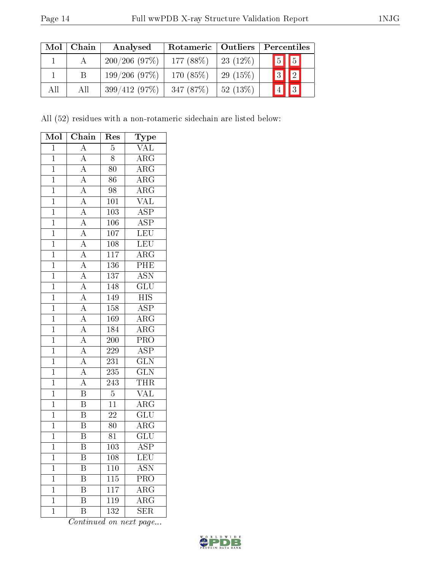| Mol | Chain | Analysed     | Rotameric   Outliers |            | Percentiles |             |  |
|-----|-------|--------------|----------------------|------------|-------------|-------------|--|
|     |       | 200/206(97%) | 177 $(88\%)$         | $23(12\%)$ |             | $5$ 5       |  |
|     |       | 199/206(97%) | 170 $(85%)$          | 29(15%)    |             | $3$ $2$     |  |
| All | All   | 399/412(97%) | 347(87%)             | 52(13%)    |             | $\boxed{2}$ |  |

All (52) residues with a non-rotameric sidechain are listed below:

| Mol            | Chain                                                                   | Res              | $_{\rm Type}$                              |
|----------------|-------------------------------------------------------------------------|------------------|--------------------------------------------|
| $\overline{1}$ | $\overline{A}$                                                          | $\overline{5}$   | $\overline{\text{VAL}}$                    |
| $\mathbf{1}$   | $\overline{A}$                                                          | 8                | $\rm{ARG}$                                 |
| $\overline{1}$ | $\overline{A}$                                                          | $\overline{80}$  | $\overline{\text{ARG}}$                    |
| $\overline{1}$ | $\overline{A}$                                                          | 86               | $\overline{\rm{ARG}}$                      |
| $\overline{1}$ | $\overline{A}$                                                          | $\overline{98}$  | $\overline{\rm ARG}$                       |
| $\overline{1}$ |                                                                         | 101              | $\overline{\text{VAL}}$                    |
| $\overline{1}$ | $\frac{\overline{A}}{\overline{A}}$                                     | 103              | $\overline{\text{ASP}}$                    |
| $\overline{1}$ | $\overline{A}$                                                          | 106              | $\overline{\text{ASP}}$                    |
| $\overline{1}$ | $\overline{A}$                                                          | 107              | LEU                                        |
| $\overline{1}$ |                                                                         | $\overline{108}$ | LEU                                        |
| $\overline{1}$ | $\frac{\overline{A}}{A}$                                                | $\overline{117}$ | $\overline{\text{ARG}}$                    |
| $\mathbf{1}$   |                                                                         | 136              | PHE                                        |
| $\overline{1}$ | $\frac{\overline{A}}{\overline{A}}$                                     | $\overline{137}$ | $\overline{\text{ASN}}$                    |
| $\overline{1}$ | $\frac{\overline{A}}{\overline{A}}$ $\frac{\overline{A}}{\overline{A}}$ | 148              | $\overline{{\rm GLU}}$                     |
| $\overline{1}$ |                                                                         | 149              | $\overline{HIS}$                           |
| $\mathbf{1}$   |                                                                         | 158              | $\overline{\text{ASP}}$                    |
| $\overline{1}$ |                                                                         | 169              | $\overline{\text{ARG}}$                    |
| $\overline{1}$ |                                                                         | 184              | $\overline{\rm{ARG}}$                      |
| $\overline{1}$ | $\frac{\overline{A}}{\overline{A}}$                                     | <b>200</b>       | PRO                                        |
| $\overline{1}$ |                                                                         | $\overline{229}$ | $\overline{\text{ASP}}$                    |
| $\overline{1}$ | $\frac{\overline{A}}{\overline{A}}$                                     | 231              | $\frac{\overline{\text{GLN}}}{\text{GLN}}$ |
| $\overline{1}$ | $\overline{A}$                                                          | $\overline{235}$ |                                            |
| $\overline{1}$ | $\overline{A}$                                                          | $\overline{243}$ |                                            |
| $\overline{1}$ | $\overline{\mathrm{B}}$                                                 | $\overline{5}$   | $\frac{\overline{\text{THR}}}{\text{VAL}}$ |
| $\overline{1}$ | $\overline{\mathbf{B}}$                                                 | $\overline{11}$  | $\overline{\text{ARG}}$                    |
| $\overline{1}$ | $\overline{B}$                                                          | $\overline{22}$  | $\overline{\text{GLU}}$                    |
| $\overline{1}$ | $\overline{\mathbf{B}}$                                                 | 80               | $\overline{\rm{ARG}}$                      |
| $\overline{1}$ | $\overline{\mathbf{B}}$                                                 | 81               | $\overline{\text{GLU}}$                    |
| $\overline{1}$ | $\overline{\rm B}$                                                      | 103              | $\overline{\rm ASP}$                       |
| $\mathbf 1$    | Β                                                                       | 108              | LEU                                        |
| $\mathbf 1$    | Β                                                                       | 110              | ASN                                        |
| $\mathbf 1$    | B                                                                       | $\overline{115}$ | $\overline{\mathrm{PRO}}$                  |
| $\mathbf 1$    | B                                                                       | 117              | $\rm{ARG}$                                 |
| $\mathbf{1}$   | B                                                                       | 119              | $\overline{\rm{ARG}}$                      |
| $\mathbf 1$    | $\overline{\mathrm{B}}$                                                 | 132              | SER                                        |

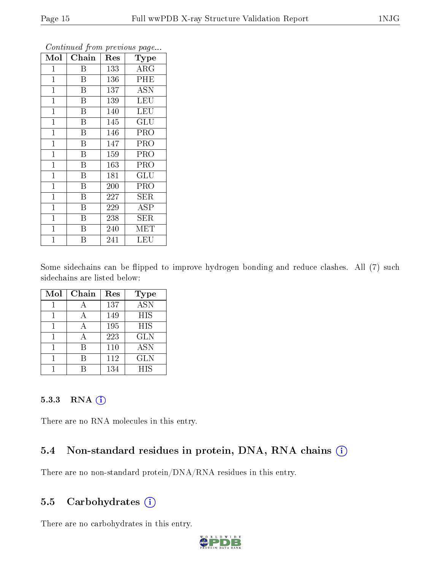| Mol          | Chain                   | Res | Type       |
|--------------|-------------------------|-----|------------|
| $\mathbf 1$  | Β                       | 133 | $\rm{ARG}$ |
| $\mathbf{1}$ | $\mathbf B$             | 136 | PHE        |
| $\mathbf{1}$ | $\overline{\mathrm{B}}$ | 137 | ASN        |
| $\mathbf{1}$ | $\overline{B}$          | 139 | <b>LEU</b> |
| $\mathbf{1}$ | $\overline{\mathrm{B}}$ | 140 | <b>LEU</b> |
| $\mathbf 1$  | Β                       | 145 | GLU        |
| $\mathbf 1$  | Β                       | 146 | PRO        |
| $\mathbf{1}$ | B                       | 147 | PRO        |
| $\mathbf{1}$ | B                       | 159 | PRO        |
| $\mathbf{1}$ | B                       | 163 | PRO        |
| $\mathbf{1}$ | B                       | 181 | GLU        |
| $\mathbf{1}$ | $\rm \bar{B}$           | 200 | PRO        |
| $\mathbf{1}$ | $\overline{\mathrm{B}}$ | 227 | SER        |
| $\mathbf{1}$ | $\overline{B}$          | 229 | $\rm{ASP}$ |
| $\mathbf{1}$ | B                       | 238 | SER        |
| $\mathbf 1$  | Β                       | 240 | MET        |
| $\mathbf 1$  | Β                       | 241 | LEU        |

Some sidechains can be flipped to improve hydrogen bonding and reduce clashes. All (7) such sidechains are listed below:

| Mol | Chain | Res | <b>Type</b> |
|-----|-------|-----|-------------|
|     |       | 137 | <b>ASN</b>  |
|     |       | 149 | HIS         |
|     |       | 195 | HIS         |
|     |       | 223 | <b>GLN</b>  |
|     | R     | 110 | <b>ASN</b>  |
|     |       | 112 | <b>GLN</b>  |
|     |       | 134 | <b>HIS</b>  |

#### 5.3.3 RNA [O](https://www.wwpdb.org/validation/2017/XrayValidationReportHelp#rna)i

There are no RNA molecules in this entry.

### 5.4 Non-standard residues in protein, DNA, RNA chains (i)

There are no non-standard protein/DNA/RNA residues in this entry.

### 5.5 Carbohydrates  $(i)$

There are no carbohydrates in this entry.

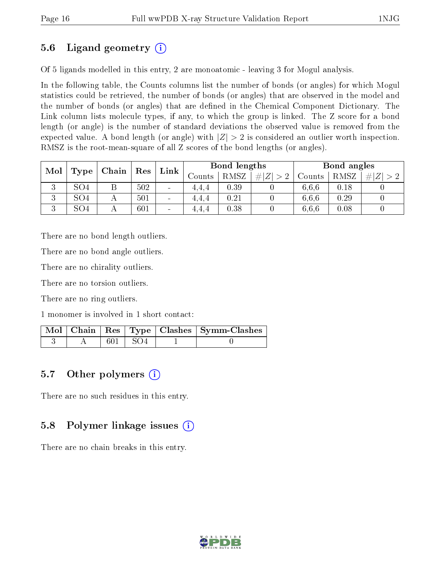## 5.6 Ligand geometry (i)

Of 5 ligands modelled in this entry, 2 are monoatomic - leaving 3 for Mogul analysis.

In the following table, the Counts columns list the number of bonds (or angles) for which Mogul statistics could be retrieved, the number of bonds (or angles) that are observed in the model and the number of bonds (or angles) that are dened in the Chemical Component Dictionary. The Link column lists molecule types, if any, to which the group is linked. The Z score for a bond length (or angle) is the number of standard deviations the observed value is removed from the expected value. A bond length (or angle) with  $|Z| > 2$  is considered an outlier worth inspection. RMSZ is the root-mean-square of all Z scores of the bond lengths (or angles).

| Mol<br>Type         |                 | Chain | Res | Link                     | Bond lengths |             |        | Bond angles |      |  |
|---------------------|-----------------|-------|-----|--------------------------|--------------|-------------|--------|-------------|------|--|
|                     |                 |       |     | Counts                   | RMSZ         | # $ Z  > 2$ | Counts | RMSZ        |      |  |
| 2<br>◡              | SO <sub>4</sub> | Β     | 502 | $\overline{\phantom{a}}$ | 4.4.4        | 0.39        |        | 6,6,6       | 0.18 |  |
| $\mathbf{Q}$<br>ು   | SO <sub>4</sub> |       | 501 | $\overline{\phantom{a}}$ | 4.4.4        | 0.21        |        | 6.6.6       | 0.29 |  |
| $\mathbf{Q}$<br>- 1 | SO <sub>4</sub> |       | 601 | $\overline{\phantom{a}}$ | 4.4.4        | 0.38        |        | 6,6,6       | 0.08 |  |

There are no bond length outliers.

There are no bond angle outliers.

There are no chirality outliers.

There are no torsion outliers.

There are no ring outliers.

1 monomer is involved in 1 short contact:

|  |       | Mol   Chain   Res   Type   Clashes   Symm-Clashes |
|--|-------|---------------------------------------------------|
|  | - SO4 |                                                   |

### 5.7 [O](https://www.wwpdb.org/validation/2017/XrayValidationReportHelp#nonstandard_residues_and_ligands)ther polymers (i)

There are no such residues in this entry.

### 5.8 Polymer linkage issues (i)

There are no chain breaks in this entry.

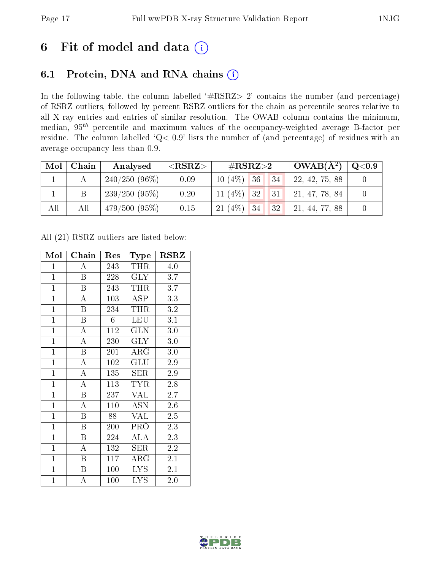## 6 Fit of model and data  $(i)$

## 6.1 Protein, DNA and RNA chains  $(i)$

In the following table, the column labelled  $#RSRZ> 2'$  contains the number (and percentage) of RSRZ outliers, followed by percent RSRZ outliers for the chain as percentile scores relative to all X-ray entries and entries of similar resolution. The OWAB column contains the minimum, median,  $95<sup>th</sup>$  percentile and maximum values of the occupancy-weighted average B-factor per residue. The column labelled ' $Q< 0.9$ ' lists the number of (and percentage) of residues with an average occupancy less than 0.9.

| Mol | Chain | Analysed                 | $<$ RSRZ $>$ | # $RSRZ>2$                           | $OWAB(A^2)$    | $\rm Q\textcolor{black}{<}0.9$ |
|-----|-------|--------------------------|--------------|--------------------------------------|----------------|--------------------------------|
|     |       | $^{\circ}$ 240/250 (96%) | 0.09         | 36 <br>$10(4\%)$<br>134 <sup>1</sup> | 22, 42, 75, 88 |                                |
|     | Β     | 239/250(95%)             | 0.20         | $11(4\%)$ 32<br> 31                  | 21, 47, 78, 84 |                                |
| All | All   | 479/500(95%)             | 0.15         | $21(4\%)$<br> 32 <br> 34             | 21, 44, 77, 88 |                                |

All (21) RSRZ outliers are listed below:

| Mol            | Chain                   | Res              | Type                       | <b>RSRZ</b>      |  |
|----------------|-------------------------|------------------|----------------------------|------------------|--|
| $\mathbf{1}$   | A                       | 243              | THR                        | 4.0              |  |
| $\overline{1}$ | B                       | 228              | <b>GLY</b>                 | 3.7              |  |
| $\overline{1}$ | $\overline{\mathrm{B}}$ | 243              | <b>THR</b>                 | 3.7              |  |
| $\mathbf{1}$   | $\boldsymbol{A}$        | 103              | ASP                        | 3.3              |  |
| $\overline{1}$ | $\overline{\mathrm{B}}$ | 234              | <b>THR</b>                 | 3.2              |  |
| $\overline{1}$ | $\boldsymbol{B}$        | $6\phantom{.}$   | <b>LEU</b>                 | 3.1              |  |
| $\mathbf{1}$   | $\overline{A}$          | 112              | <b>GLN</b>                 | $3.0\,$          |  |
| $\overline{1}$ | $\overline{\rm A}$      | 230              | $\rm GLY$                  | 3.0              |  |
| $\mathbf{1}$   | $\boldsymbol{B}$        | 201              | ${\rm ARG}$                | 3.0              |  |
| $\overline{1}$ | $\overline{\rm A}$      | $\overline{1}02$ | GLU                        | $2.9\,$          |  |
| $\mathbf{1}$   | $\boldsymbol{A}$        | 135              | SER                        | 2.9              |  |
| $\overline{1}$ | $\overline{\rm A}$      | 113              | <b>TYR</b>                 | 2.8              |  |
| $\mathbf{1}$   | B                       | 237              | <b>VAL</b>                 | 2.7              |  |
| $\mathbf{1}$   | A                       | 110              | <b>ASN</b>                 | 2.6              |  |
| $\overline{1}$ | Β                       | 88               | VAL                        | 2.5              |  |
| $\overline{1}$ | $\boldsymbol{B}$        | 200              | PRO                        | 2.3              |  |
| $\overline{1}$ | $\overline{\mathrm{B}}$ | 224              | $\rm{A}\overline{\rm{LA}}$ | 2.3              |  |
| $\mathbf{1}$   | A                       | 132              | SER                        | 2.2              |  |
| $\mathbf{1}$   | B                       | 117              | ${\rm ARG}$                | 2.1              |  |
| $\overline{1}$ | $\boldsymbol{B}$        | 100              | <b>LYS</b>                 | $\overline{2.1}$ |  |
| $\mathbf{1}$   | А                       | 100              | <b>LYS</b>                 | 2.0              |  |